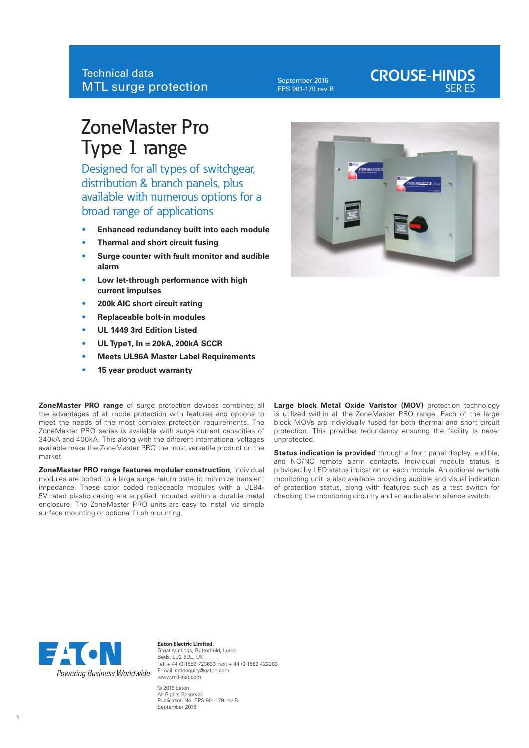September 2016 EPS 901-179 rev B

## **CROUSE-HINDS**

## ZoneMaster Pro Type 1 range

Designed for all types of switchgear, distribution & branch panels, plus available with numerous options for a broad range of applications

- **• Enhanced redundancy built into each module**
- **• Thermal and short circuit fusing**
- **• Surge counter with fault monitor and audible alarm**
- **• Low let-through performance with high current impulses**
- **• 200k AIC short circuit rating**
- **• Replaceable bolt-in modules**
- **• UL 1449 3rd Edition Listed**
- **• UL Type1, In = 20kA, 200kA SCCR**
- **• Meets UL96A Master Label Requirements**
- **• 15 year product warranty**

**ZoneMaster PRO range** of surge protection devices combines all the advantages of all mode protection with features and options to meet the needs of the most complex protection requirements. The ZoneMaster PRO series is available with surge current capacities of 340kA and 400kA. This along with the different international voltages available make the ZoneMaster PRO the most versatile product on the market.

**ZoneMaster PRO range features modular construction**, individual modules are bolted to a large surge return plate to minimize transient impedance. These color coded replaceable modules with a UL94- 5V rated plastic casing are supplied mounted within a durable metal enclosure. The ZoneMaster PRO units are easy to install via simple surface mounting or optional flush mounting.

Large block Metal Oxide Varistor (MOV) protection technology is utilized within all the ZoneMaster PRO range. Each of the large block MOVs are individually fused for both thermal and short circuit protection. This provides redundancy ensuring the facility is never unprotected.

**Status indication is provided** through a front panel display, audible, and NO/NC remote alarm contacts. Individual module status is provided by LED status indication on each module. An optional remote monitoring unit is also available providing audible and visual indication of protection status, along with features such as a test switch for checking the monitoring circuitry and an audio alarm silence switch.



**Eaton Electric Limited,** Great Marlings, Butterfield, Luton Beds, LU2 8DL, UK. Tel: + 44 (0)1582 723633 Fax: + 44 (0)1582 422283 E-mail: mtlenquiry@eaton.com www.mtl-inst.com © 2016 Eaton All Rights Reserved Publication No. EPS 901-179 rev B

September 2016

1